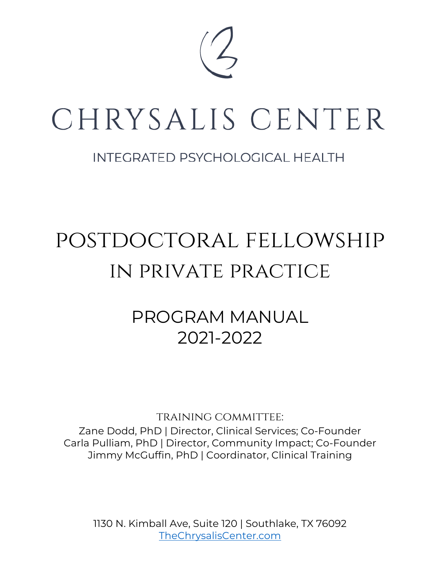

# CHRYSALIS CENTER

# **INTEGRATED PSYCHOLOGICAL HEALTH**

# postdoctoral fellowship in private practice

# PROGRAM MANUAL 2021-2022

training committee: Zane Dodd, PhD | Director, Clinical Services; Co-Founder Carla Pulliam, PhD | Director, Community Impact; Co-Founder Jimmy McGuffin, PhD | Coordinator, Clinical Training

1130 N. Kimball Ave, Suite 120 | Southlake, TX 76092 TheChrysalisCenter.com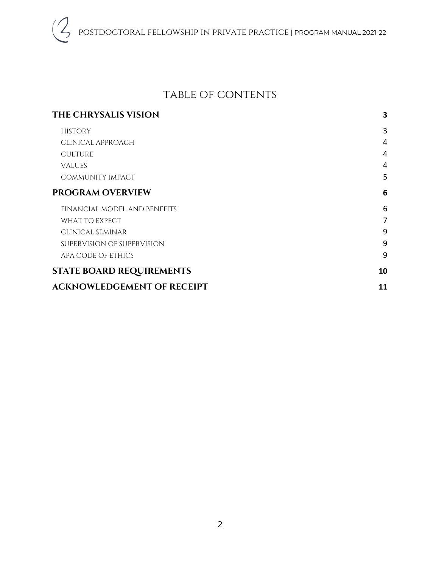# table of contents

| THE CHRYSALIS VISION              | 3              |
|-----------------------------------|----------------|
| <b>HISTORY</b>                    | 3              |
| CLINICAL APPROACH                 | 4              |
| <b>CULTURE</b>                    | 4              |
| <b>VALUES</b>                     | $\overline{4}$ |
| COMMUNITY IMPACT                  | 5              |
| <b>PROGRAM OVERVIEW</b>           | 6              |
| FINANCIAL MODEL AND BENEFITS      | 6              |
| WHAT TO EXPECT                    | 7              |
| CLINICAL SEMINAR                  | 9              |
| SUPERVISION OF SUPERVISION        | 9              |
| APA CODE OF ETHICS                | 9              |
| <b>STATE BOARD REQUIREMENTS</b>   | 10             |
| <b>ACKNOWLEDGEMENT OF RECEIPT</b> | 11             |
|                                   |                |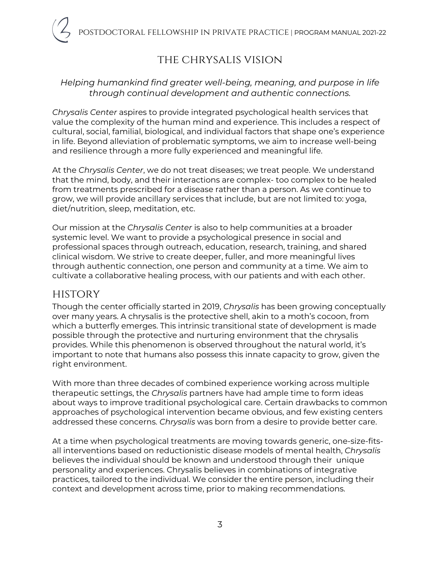# the chrysalis vision

#### *Helping humankind find greater well-being, meaning, and purpose in life through continual development and authentic connections.*

*Chrysalis Center* aspires to provide integrated psychological health services that value the complexity of the human mind and experience. This includes a respect of cultural, social, familial, biological, and individual factors that shape one's experience in life. Beyond alleviation of problematic symptoms, we aim to increase well-being and resilience through a more fully experienced and meaningful life.

At the *Chrysalis Center*, we do not treat diseases; we treat people. We understand that the mind, body, and their interactions are complex- too complex to be healed from treatments prescribed for a disease rather than a person. As we continue to grow, we will provide ancillary services that include, but are not limited to: yoga, diet/nutrition, sleep, meditation, etc.

Our mission at the *Chrysalis Center* is also to help communities at a broader systemic level. We want to provide a psychological presence in social and professional spaces through outreach, education, research, training, and shared clinical wisdom. We strive to create deeper, fuller, and more meaningful lives through authentic connection, one person and community at a time. We aim to cultivate a collaborative healing process, with our patients and with each other.

### **HISTORY**

Though the center officially started in 2019, *Chrysalis* has been growing conceptually over many years. A chrysalis is the protective shell, akin to a moth's cocoon, from which a butterfly emerges. This intrinsic transitional state of development is made possible through the protective and nurturing environment that the chrysalis provides. While this phenomenon is observed throughout the natural world, it's important to note that humans also possess this innate capacity to grow, given the right environment.

With more than three decades of combined experience working across multiple therapeutic settings, the *Chrysalis* partners have had ample time to form ideas about ways to improve traditional psychological care. Certain drawbacks to common approaches of psychological intervention became obvious, and few existing centers addressed these concerns. *Chrysalis* was born from a desire to provide better care.

At a time when psychological treatments are moving towards generic, one-size-fitsall interventions based on reductionistic disease models of mental health, *Chrysalis* believes the individual should be known and understood through their unique personality and experiences. Chrysalis believes in combinations of integrative practices, tailored to the individual. We consider the entire person, including their context and development across time, prior to making recommendations.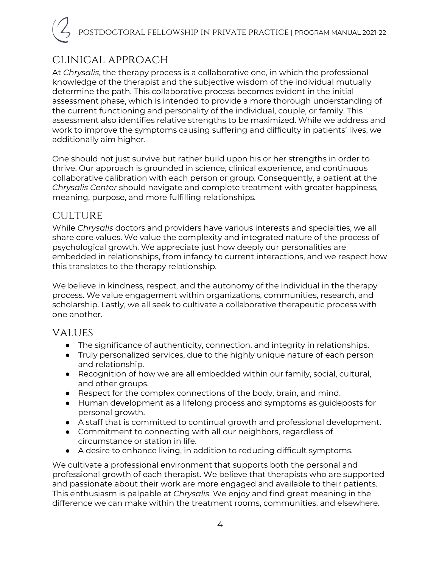# clinical approach

At *Chrysalis*, the therapy process is a collaborative one, in which the professional knowledge of the therapist and the subjective wisdom of the individual mutually determine the path. This collaborative process becomes evident in the initial assessment phase, which is intended to provide a more thorough understanding of the current functioning and personality of the individual, couple, or family. This assessment also identifies relative strengths to be maximized. While we address and work to improve the symptoms causing suffering and difficulty in patients' lives, we additionally aim higher.

One should not just survive but rather build upon his or her strengths in order to thrive. Our approach is grounded in science, clinical experience, and continuous collaborative calibration with each person or group. Consequently, a patient at the *Chrysalis Center* should navigate and complete treatment with greater happiness, meaning, purpose, and more fulfilling relationships.

# **CULTURE**

While *Chrysalis* doctors and providers have various interests and specialties, we all share core values. We value the complexity and integrated nature of the process of psychological growth. We appreciate just how deeply our personalities are embedded in relationships, from infancy to current interactions, and we respect how this translates to the therapy relationship.

We believe in kindness, respect, and the autonomy of the individual in the therapy process. We value engagement within organizations, communities, research, and scholarship. Lastly, we all seek to cultivate a collaborative therapeutic process with one another.

### values

- The significance of authenticity, connection, and integrity in relationships.
- Truly personalized services, due to the highly unique nature of each person and relationship.
- Recognition of how we are all embedded within our family, social, cultural, and other groups.
- Respect for the complex connections of the body, brain, and mind.
- Human development as a lifelong process and symptoms as guideposts for personal growth.
- A staff that is committed to continual growth and professional development.
- Commitment to connecting with all our neighbors, regardless of circumstance or station in life.
- A desire to enhance living, in addition to reducing difficult symptoms.

We cultivate a professional environment that supports both the personal and professional growth of each therapist. We believe that therapists who are supported and passionate about their work are more engaged and available to their patients. This enthusiasm is palpable at *Chrysalis*. We enjoy and find great meaning in the difference we can make within the treatment rooms, communities, and elsewhere.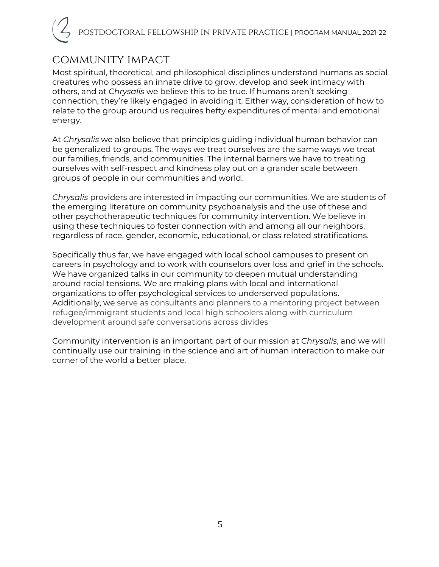# community impact

Most spiritual, theoretical, and philosophical disciplines understand humans as social creatures who possess an innate drive to grow, develop and seek intimacy with others, and at *Chrysalis* we believe this to be true. If humans aren't seeking connection, they're likely engaged in avoiding it. Either way, consideration of how to relate to the group around us requires hefty expenditures of mental and emotional energy.

At *Chrysalis* we also believe that principles guiding individual human behavior can be generalized to groups. The ways we treat ourselves are the same ways we treat our families, friends, and communities. The internal barriers we have to treating ourselves with self-respect and kindness play out on a grander scale between groups of people in our communities and world.

*Chrysalis* providers are interested in impacting our communities. We are students of the emerging literature on community psychoanalysis and the use of these and other psychotherapeutic techniques for community intervention. We believe in using these techniques to foster connection with and among all our neighbors, regardless of race, gender, economic, educational, or class related stratifications.

Specifically thus far, we have engaged with local school campuses to present on careers in psychology and to work with counselors over loss and grief in the schools. We have organized talks in our community to deepen mutual understanding around racial tensions. We are making plans with local and international organizations to offer psychological services to underserved populations. Additionally, we serve as consultants and planners to a mentoring project between refugee/immigrant students and local high schoolers along with curriculum development around safe conversations across divides

Community intervention is an important part of our mission at *Chrysalis*, and we will continually use our training in the science and art of human interaction to make our corner of the world a better place.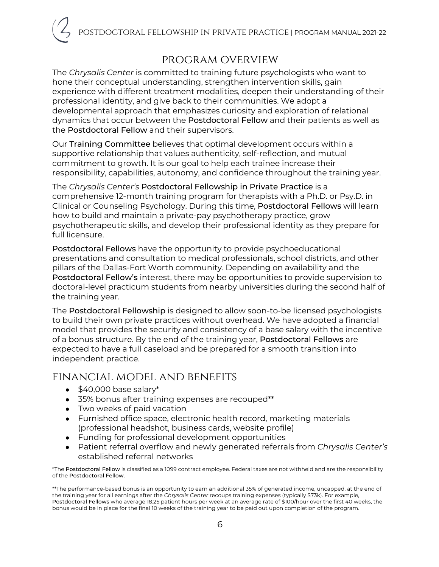# program overview

The *Chrysalis Center* is committed to training future psychologists who want to hone their conceptual understanding, strengthen intervention skills, gain experience with different treatment modalities, deepen their understanding of their professional identity, and give back to their communities. We adopt a developmental approach that emphasizes curiosity and exploration of relational dynamics that occur between the Postdoctoral Fellow and their patients as well as the Postdoctoral Fellow and their supervisors.

Our Training Committee believes that optimal development occurs within a supportive relationship that values authenticity, self-reflection, and mutual commitment to growth. It is our goal to help each trainee increase their responsibility, capabilities, autonomy, and confidence throughout the training year.

The *Chrysalis Center's* Postdoctoral Fellowship in Private Practice is a comprehensive 12-month training program for therapists with a Ph.D. or Psy.D. in Clinical or Counseling Psychology. During this time, Postdoctoral Fellows will learn how to build and maintain a private-pay psychotherapy practice, grow psychotherapeutic skills, and develop their professional identity as they prepare for full licensure.

Postdoctoral Fellows have the opportunity to provide psychoeducational presentations and consultation to medical professionals, school districts, and other pillars of the Dallas-Fort Worth community. Depending on availability and the Postdoctoral Fellow's interest, there may be opportunities to provide supervision to doctoral-level practicum students from nearby universities during the second half of the training year.

The Postdoctoral Fellowship is designed to allow soon-to-be licensed psychologists to build their own private practices without overhead. We have adopted a financial model that provides the security and consistency of a base salary with the incentive of a bonus structure. By the end of the training year, Postdoctoral Fellows are expected to have a full caseload and be prepared for a smooth transition into independent practice.

# financial model and benefits

- $\bullet$  \$40,000 base salary\*
- 35% bonus after training expenses are recouped\*\*
- Two weeks of paid vacation
- Furnished office space, electronic health record, marketing materials (professional headshot, business cards, website profile)
- Funding for professional development opportunities
- Patient referral overflow and newly generated referrals from *Chrysalis Center's* established referral networks

\*The Postdoctoral Fellow is classified as a 1099 contract employee. Federal taxes are not withheld and are the responsibility of the Postdoctoral Fellow.

<sup>\*\*</sup>The performance-based bonus is an opportunity to earn an additional 35% of generated income, uncapped, at the end of the training year for all earnings after the *Chrysalis Center* recoups training expenses (typically \$73k). For example, Postdoctoral Fellows who average 18.25 patient hours per week at an average rate of \$100/hour over the first 40 weeks, the bonus would be in place for the final 10 weeks of the training year to be paid out upon completion of the program.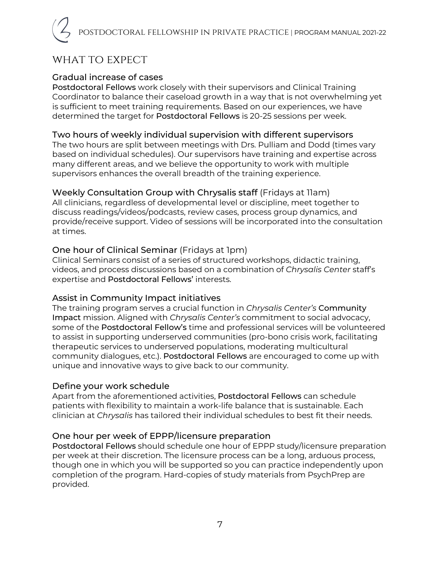# WHAT TO EXPECT

#### Gradual increase of cases

Postdoctoral Fellows work closely with their supervisors and Clinical Training Coordinator to balance their caseload growth in a way that is not overwhelming yet is sufficient to meet training requirements. Based on our experiences, we have determined the target for Postdoctoral Fellows is 20-25 sessions per week.

#### Two hours of weekly individual supervision with different supervisors

The two hours are split between meetings with Drs. Pulliam and Dodd (times vary based on individual schedules). Our supervisors have training and expertise across many different areas, and we believe the opportunity to work with multiple supervisors enhances the overall breadth of the training experience.

#### Weekly Consultation Group with Chrysalis staff (Fridays at 11am)

All clinicians, regardless of developmental level or discipline, meet together to discuss readings/videos/podcasts, review cases, process group dynamics, and provide/receive support. Video of sessions will be incorporated into the consultation at times.

#### One hour of Clinical Seminar (Fridays at 1pm)

Clinical Seminars consist of a series of structured workshops, didactic training, videos, and process discussions based on a combination of *Chrysalis Center* staff's expertise and Postdoctoral Fellows' interests.

#### Assist in Community Impact initiatives

The training program serves a crucial function in *Chrysalis Center's* Community Impact mission. Aligned with *Chrysalis Center's* commitment to social advocacy, some of the Postdoctoral Fellow's time and professional services will be volunteered to assist in supporting underserved communities (pro-bono crisis work, facilitating therapeutic services to underserved populations, moderating multicultural community dialogues, etc.). Postdoctoral Fellows are encouraged to come up with unique and innovative ways to give back to our community.

#### Define your work schedule

Apart from the aforementioned activities, Postdoctoral Fellows can schedule patients with flexibility to maintain a work-life balance that is sustainable. Each clinician at *Chrysalis* has tailored their individual schedules to best fit their needs.

#### One hour per week of EPPP/licensure preparation

Postdoctoral Fellows should schedule one hour of EPPP study/licensure preparation per week at their discretion. The licensure process can be a long, arduous process, though one in which you will be supported so you can practice independently upon completion of the program. Hard-copies of study materials from PsychPrep are provided.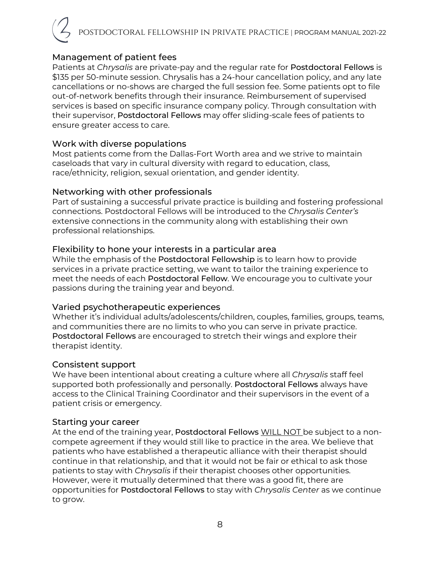### Management of patient fees

Patients at *Chrysalis* are private-pay and the regular rate for Postdoctoral Fellows is \$135 per 50-minute session. Chrysalis has a 24-hour cancellation policy, and any late cancellations or no-shows are charged the full session fee. Some patients opt to file out-of-network benefits through their insurance. Reimbursement of supervised services is based on specific insurance company policy. Through consultation with their supervisor, Postdoctoral Fellows may offer sliding-scale fees of patients to ensure greater access to care.

#### Work with diverse populations

Most patients come from the Dallas-Fort Worth area and we strive to maintain caseloads that vary in cultural diversity with regard to education, class, race/ethnicity, religion, sexual orientation, and gender identity.

#### Networking with other professionals

Part of sustaining a successful private practice is building and fostering professional connections. Postdoctoral Fellows will be introduced to the *Chrysalis Center's*  extensive connections in the community along with establishing their own professional relationships.

#### Flexibility to hone your interests in a particular area

While the emphasis of the Postdoctoral Fellowship is to learn how to provide services in a private practice setting, we want to tailor the training experience to meet the needs of each Postdoctoral Fellow. We encourage you to cultivate your passions during the training year and beyond.

#### Varied psychotherapeutic experiences

Whether it's individual adults/adolescents/children, couples, families, groups, teams, and communities there are no limits to who you can serve in private practice. Postdoctoral Fellows are encouraged to stretch their wings and explore their therapist identity.

#### Consistent support

We have been intentional about creating a culture where all *Chrysalis* staff feel supported both professionally and personally. Postdoctoral Fellows always have access to the Clinical Training Coordinator and their supervisors in the event of a patient crisis or emergency.

#### Starting your career

At the end of the training year, Postdoctoral Fellows WILL NOT be subject to a noncompete agreement if they would still like to practice in the area. We believe that patients who have established a therapeutic alliance with their therapist should continue in that relationship, and that it would not be fair or ethical to ask those patients to stay with *Chrysalis* if their therapist chooses other opportunities. However, were it mutually determined that there was a good fit, there are opportunities for Postdoctoral Fellows to stay with *Chrysalis Center* as we continue to grow.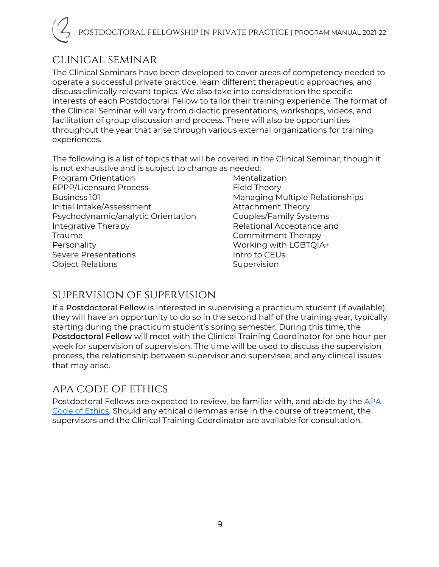# clinical seminar

The Clinical Seminars have been developed to cover areas of competency needed to operate a successful private practice, learn different therapeutic approaches, and discuss clinically relevant topics. We also take into consideration the specific interests of each Postdoctoral Fellow to tailor their training experience. The format of the Clinical Seminar will vary from didactic presentations, workshops, videos, and facilitation of group discussion and process. There will also be opportunities throughout the year that arise through various external organizations for training experiences.

The following is a list of topics that will be covered in the Clinical Seminar, though it is not exhaustive and is subject to change as needed:

Program Orientation EPPP/Licensure Process Business 101 Initial Intake/Assessment Psychodynamic/analytic Orientation Integrative Therapy Trauma Personality Severe Presentations Object Relations

Mentalization Field Theory Managing Multiple Relationships Attachment Theory Couples/Family Systems Relational Acceptance and Commitment Therapy Working with LGBTQIA+ Intro to CEUs Supervision

# supervision of supervision

If a Postdoctoral Fellow is interested in supervising a practicum student (if available), they will have an opportunity to do so in the second half of the training year, typically starting during the practicum student's spring semester. During this time, the Postdoctoral Fellow will meet with the Clinical Training Coordinator for one hour per week for supervision of supervision. The time will be used to discuss the supervision process, the relationship between supervisor and supervisee, and any clinical issues that may arise.

# apa code of ethics

Postdoctoral Fellows are expected to review, be familiar with, and abide by the APA Code of Ethics. Should any ethical dilemmas arise in the course of treatment, the supervisors and the Clinical Training Coordinator are available for consultation.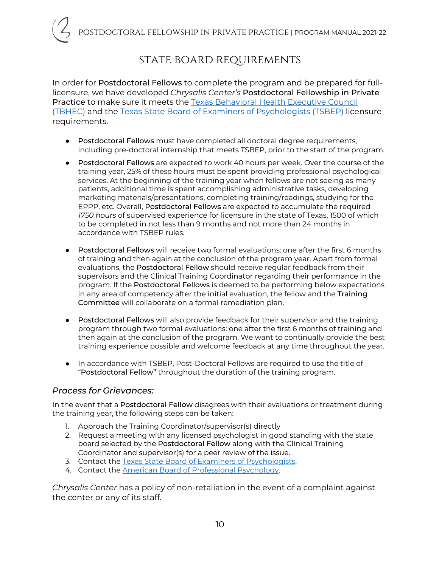# state board requirements

In order for Postdoctoral Fellows to complete the program and be prepared for fulllicensure, we have developed *Chrysalis Center's* Postdoctoral Fellowship in Private Practice to make sure it meets the Texas Behavioral Health Executive Council (TBHEC) and the Texas State Board of Examiners of Psychologists (TSBEP) licensure requirements.

- Postdoctoral Fellows must have completed all doctoral degree requirements, including pre-doctoral internship that meets TSBEP, prior to the start of the program.
- Postdoctoral Fellows are expected to work 40 hours per week. Over the course of the training year, 25% of these hours must be spent providing professional psychological services. At the beginning of the training year when fellows are not seeing as many patients, additional time is spent accomplishing administrative tasks, developing marketing materials/presentations, completing training/readings, studying for the EPPP, etc. Overall, Postdoctoral Fellows are expected to accumulate the required *1750 hours* of supervised experience for licensure in the state of Texas, 1500 of which to be completed in not less than 9 months and not more than 24 months in accordance with TSBEP rules.
- Postdoctoral Fellows will receive two formal evaluations: one after the first 6 months of training and then again at the conclusion of the program year. Apart from formal evaluations, the Postdoctoral Fellow should receive regular feedback from their supervisors and the Clinical Training Coordinator regarding their performance in the program. If the Postdoctoral Fellows is deemed to be performing below expectations in any area of competency after the initial evaluation, the fellow and the Training Committee will collaborate on a formal remediation plan.
- Postdoctoral Fellows will also provide feedback for their supervisor and the training program through two formal evaluations: one after the first 6 months of training and then again at the conclusion of the program. We want to continually provide the best training experience possible and welcome feedback at any time throughout the year.
- In accordance with TSBEP, Post-Doctoral Fellows are required to use the title of "Postdoctoral Fellow" throughout the duration of the training program.

#### *Process for Grievances:*

In the event that a Postdoctoral Fellow disagrees with their evaluations or treatment during the training year, the following steps can be taken:

- 1. Approach the Training Coordinator/supervisor(s) directly
- 2. Request a meeting with any licensed psychologist in good standing with the state board selected by the Postdoctoral Fellow along with the Clinical Training Coordinator and supervisor(s) for a peer review of the issue.
- 3. Contact the Texas State Board of Examiners of Psychologists.
- 4. Contact the American Board of Professional Psychology.

*Chrysalis Center* has a policy of non-retaliation in the event of a complaint against the center or any of its staff.